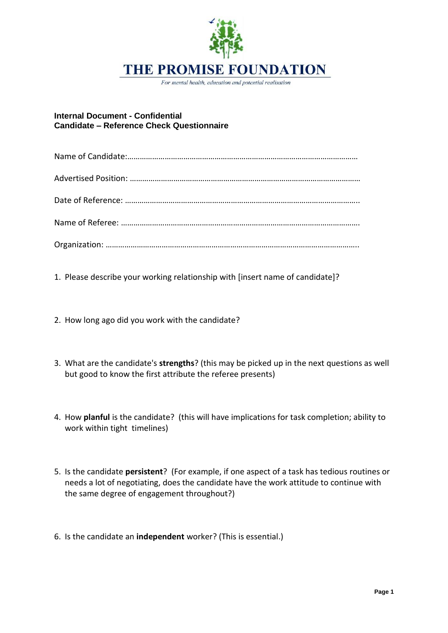

For mental health, education and potential realisation

## **Internal Document - Confidential Candidate – Reference Check Questionnaire**

1. Please describe your working relationship with [insert name of candidate]?

- 2. How long ago did you work with the candidate?
- 3. What are the candidate's **strengths**? (this may be picked up in the next questions as well but good to know the first attribute the referee presents)
- 4. How **planful** is the candidate? (this will have implications for task completion; ability to work within tight timelines)
- 5. Is the candidate **persistent**? (For example, if one aspect of a task has tedious routines or needs a lot of negotiating, does the candidate have the work attitude to continue with the same degree of engagement throughout?)
- 6. Is the candidate an **independent** worker? (This is essential.)